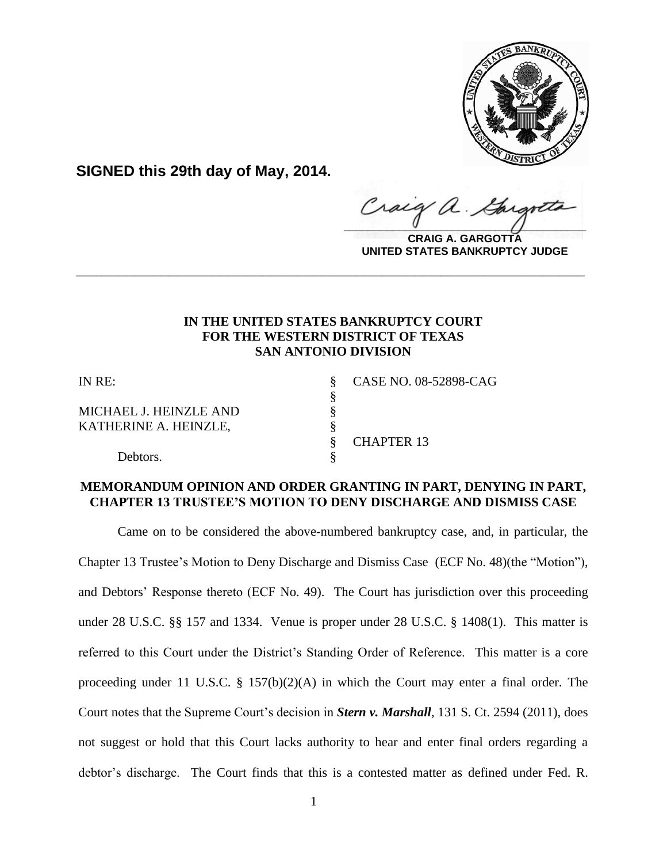

**SIGNED this 29th day of May, 2014.**

Craig a.  $\frac{1}{2}$ 

**CRAIG A. GARGOTTA UNITED STATES BANKRUPTCY JUDGE**

## **IN THE UNITED STATES BANKRUPTCY COURT FOR THE WESTERN DISTRICT OF TEXAS SAN ANTONIO DIVISION**

**\_\_\_\_\_\_\_\_\_\_\_\_\_\_\_\_\_\_\_\_\_\_\_\_\_\_\_\_\_\_\_\_\_\_\_\_\_\_\_\_\_\_\_\_\_\_\_\_\_\_\_\_\_\_\_\_\_\_\_\_**

§

MICHAEL J. HEINZLE AND  $§$ KATHERINE A. HEINZLE,  $§$ 

IN RE: § CASE NO. 08-52898-CAG

§ CHAPTER 13

Debtors.

# **MEMORANDUM OPINION AND ORDER GRANTING IN PART, DENYING IN PART, CHAPTER 13 TRUSTEE'S MOTION TO DENY DISCHARGE AND DISMISS CASE**

Came on to be considered the above-numbered bankruptcy case, and, in particular, the Chapter 13 Trustee's Motion to Deny Discharge and Dismiss Case (ECF No. 48)(the "Motion"), and Debtors' Response thereto (ECF No. 49). The Court has jurisdiction over this proceeding under 28 U.S.C. §§ 157 and 1334. Venue is proper under 28 U.S.C. § 1408(1). This matter is referred to this Court under the District's Standing Order of Reference. This matter is a core proceeding under 11 U.S.C. § 157(b)(2)(A) in which the Court may enter a final order. The Court notes that the Supreme Court's decision in *Stern v. Marshall*, 131 S. Ct. 2594 (2011), does not suggest or hold that this Court lacks authority to hear and enter final orders regarding a debtor's discharge. The Court finds that this is a contested matter as defined under Fed. R.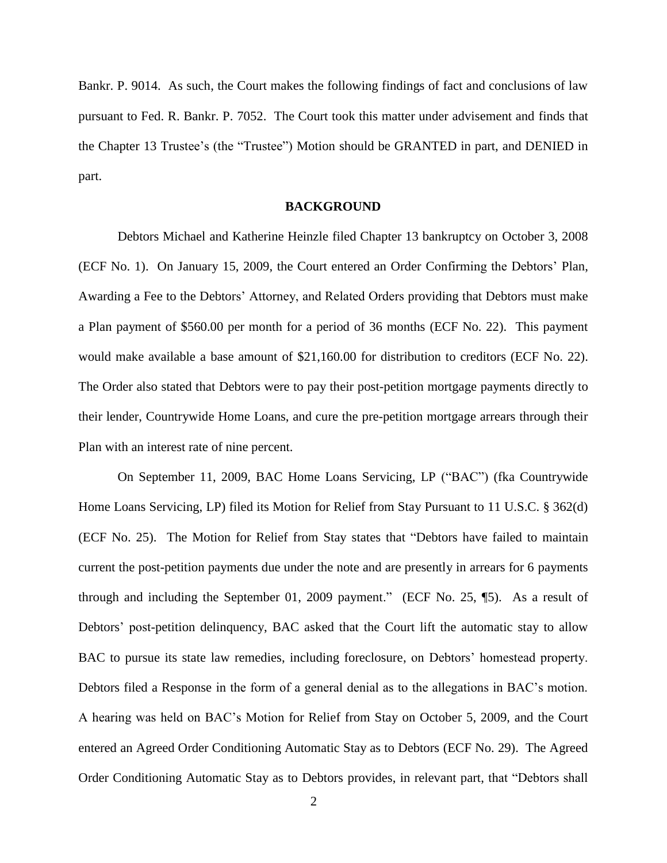Bankr. P. 9014. As such, the Court makes the following findings of fact and conclusions of law pursuant to Fed. R. Bankr. P. 7052. The Court took this matter under advisement and finds that the Chapter 13 Trustee's (the "Trustee") Motion should be GRANTED in part, and DENIED in part.

### **BACKGROUND**

Debtors Michael and Katherine Heinzle filed Chapter 13 bankruptcy on October 3, 2008 (ECF No. 1). On January 15, 2009, the Court entered an Order Confirming the Debtors' Plan, Awarding a Fee to the Debtors' Attorney, and Related Orders providing that Debtors must make a Plan payment of \$560.00 per month for a period of 36 months (ECF No. 22). This payment would make available a base amount of \$21,160.00 for distribution to creditors (ECF No. 22). The Order also stated that Debtors were to pay their post-petition mortgage payments directly to their lender, Countrywide Home Loans, and cure the pre-petition mortgage arrears through their Plan with an interest rate of nine percent.

On September 11, 2009, BAC Home Loans Servicing, LP ("BAC") (fka Countrywide Home Loans Servicing, LP) filed its Motion for Relief from Stay Pursuant to 11 U.S.C. § 362(d) (ECF No. 25). The Motion for Relief from Stay states that "Debtors have failed to maintain current the post-petition payments due under the note and are presently in arrears for 6 payments through and including the September 01, 2009 payment." (ECF No. 25, ¶5). As a result of Debtors' post-petition delinquency, BAC asked that the Court lift the automatic stay to allow BAC to pursue its state law remedies, including foreclosure, on Debtors' homestead property. Debtors filed a Response in the form of a general denial as to the allegations in BAC's motion. A hearing was held on BAC's Motion for Relief from Stay on October 5, 2009, and the Court entered an Agreed Order Conditioning Automatic Stay as to Debtors (ECF No. 29). The Agreed Order Conditioning Automatic Stay as to Debtors provides, in relevant part, that "Debtors shall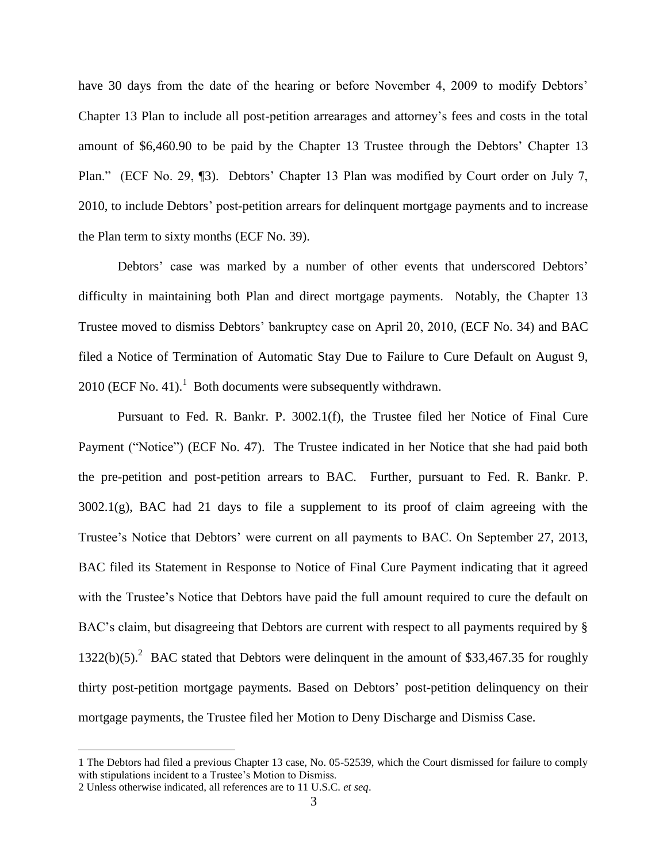have 30 days from the date of the hearing or before November 4, 2009 to modify Debtors' Chapter 13 Plan to include all post-petition arrearages and attorney's fees and costs in the total amount of \$6,460.90 to be paid by the Chapter 13 Trustee through the Debtors' Chapter 13 Plan." (ECF No. 29, ¶3). Debtors' Chapter 13 Plan was modified by Court order on July 7, 2010, to include Debtors' post-petition arrears for delinquent mortgage payments and to increase the Plan term to sixty months (ECF No. 39).

Debtors' case was marked by a number of other events that underscored Debtors' difficulty in maintaining both Plan and direct mortgage payments. Notably, the Chapter 13 Trustee moved to dismiss Debtors' bankruptcy case on April 20, 2010, (ECF No. 34) and BAC filed a Notice of Termination of Automatic Stay Due to Failure to Cure Default on August 9, 2010 (ECF No. 41).<sup>1</sup> Both documents were subsequently withdrawn.

Pursuant to Fed. R. Bankr. P. 3002.1(f), the Trustee filed her Notice of Final Cure Payment ("Notice") (ECF No. 47). The Trustee indicated in her Notice that she had paid both the pre-petition and post-petition arrears to BAC. Further, pursuant to Fed. R. Bankr. P. 3002.1(g), BAC had 21 days to file a supplement to its proof of claim agreeing with the Trustee's Notice that Debtors' were current on all payments to BAC. On September 27, 2013, BAC filed its Statement in Response to Notice of Final Cure Payment indicating that it agreed with the Trustee's Notice that Debtors have paid the full amount required to cure the default on BAC's claim, but disagreeing that Debtors are current with respect to all payments required by §  $1322(b)(5)$ .<sup>2</sup> BAC stated that Debtors were delinquent in the amount of \$33,467.35 for roughly thirty post-petition mortgage payments. Based on Debtors' post-petition delinquency on their mortgage payments, the Trustee filed her Motion to Deny Discharge and Dismiss Case.

<sup>1</sup> The Debtors had filed a previous Chapter 13 case, No. 05-52539, which the Court dismissed for failure to comply with stipulations incident to a Trustee's Motion to Dismiss.

<sup>2</sup> Unless otherwise indicated, all references are to 11 U.S.C. *et seq*.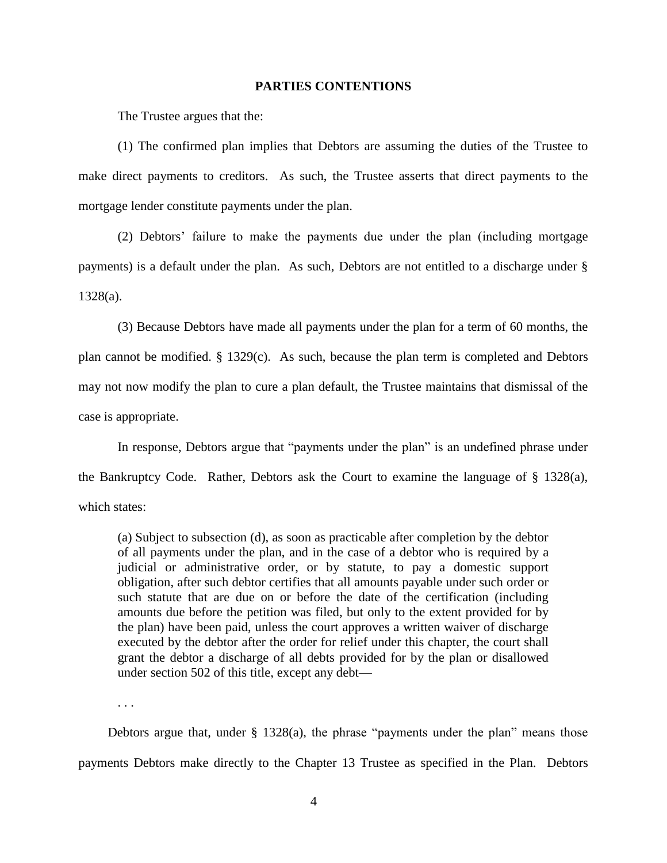#### **PARTIES CONTENTIONS**

The Trustee argues that the:

(1) The confirmed plan implies that Debtors are assuming the duties of the Trustee to make direct payments to creditors. As such, the Trustee asserts that direct payments to the mortgage lender constitute payments under the plan.

(2) Debtors' failure to make the payments due under the plan (including mortgage payments) is a default under the plan. As such, Debtors are not entitled to a discharge under § 1328(a).

(3) Because Debtors have made all payments under the plan for a term of 60 months, the plan cannot be modified. § 1329(c). As such, because the plan term is completed and Debtors may not now modify the plan to cure a plan default, the Trustee maintains that dismissal of the case is appropriate.

In response, Debtors argue that "payments under the plan" is an undefined phrase under the Bankruptcy Code. Rather, Debtors ask the Court to examine the language of § 1328(a), which states:

(a) Subject to subsection (d), as soon as practicable after completion by the debtor of all payments under the plan, and in the case of a debtor who is required by a judicial or administrative order, or by statute, to pay a domestic support obligation, after such debtor certifies that all amounts payable under such order or such statute that are due on or before the date of the certification (including amounts due before the petition was filed, but only to the extent provided for by the plan) have been paid, unless the court approves a written waiver of discharge executed by the debtor after the order for relief under this chapter, the court shall grant the debtor a discharge of all debts provided for by the plan or disallowed under [section 502](https://a.next.westlaw.com/Link/Document/FullText?findType=L&pubNum=1000546&cite=11USCAS502&originatingDoc=N678D80D0141011DAA8F4B82DB65BCEEF&refType=LQ&originationContext=document&transitionType=DocumentItem&contextData=%28sc.UserEnteredCitation%29) of this title, except any debt—

. . .

Debtors argue that, under § 1328(a), the phrase "payments under the plan" means those payments Debtors make directly to the Chapter 13 Trustee as specified in the Plan. Debtors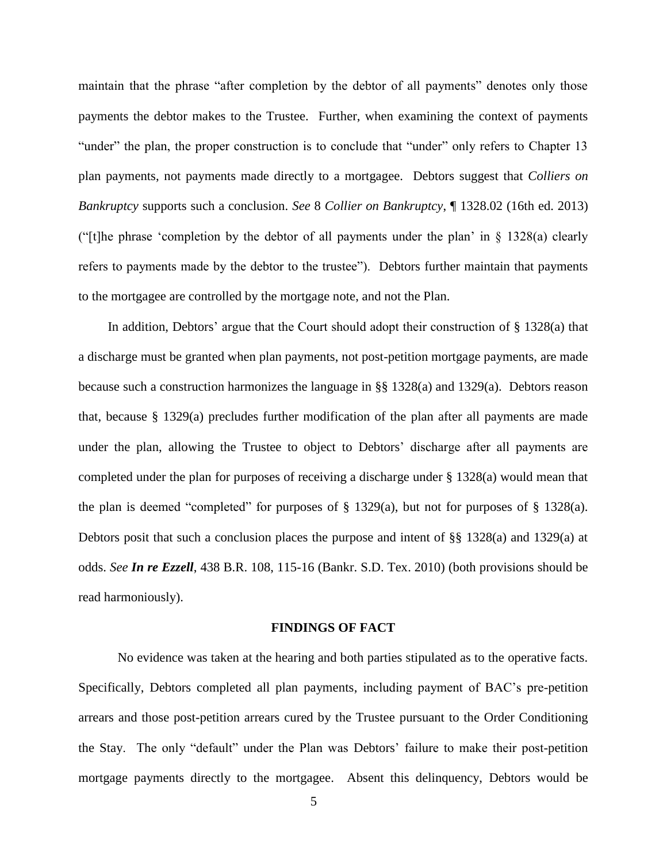maintain that the phrase "after completion by the debtor of all payments" denotes only those payments the debtor makes to the Trustee. Further, when examining the context of payments "under" the plan, the proper construction is to conclude that "under" only refers to Chapter 13 plan payments, not payments made directly to a mortgagee. Debtors suggest that *Colliers on Bankruptcy* supports such a conclusion. *See* 8 *Collier on Bankruptcy*, ¶ 1328.02 (16th ed. 2013) ("[t]he phrase 'completion by the debtor of all payments under the plan' in  $\S$  1328(a) clearly refers to payments made by the debtor to the trustee"). Debtors further maintain that payments to the mortgagee are controlled by the mortgage note, and not the Plan.

In addition, Debtors' argue that the Court should adopt their construction of § 1328(a) that a discharge must be granted when plan payments, not post-petition mortgage payments, are made because such a construction harmonizes the language in §§ 1328(a) and 1329(a). Debtors reason that, because  $\S$  1329(a) precludes further modification of the plan after all payments are made under the plan, allowing the Trustee to object to Debtors' discharge after all payments are completed under the plan for purposes of receiving a discharge under § 1328(a) would mean that the plan is deemed "completed" for purposes of  $\S$  1329(a), but not for purposes of  $\S$  1328(a). Debtors posit that such a conclusion places the purpose and intent of §§ 1328(a) and 1329(a) at odds. *See In re Ezzell*, 438 B.R. 108, 115-16 (Bankr. S.D. Tex. 2010) (both provisions should be read harmoniously).

#### **FINDINGS OF FACT**

No evidence was taken at the hearing and both parties stipulated as to the operative facts. Specifically, Debtors completed all plan payments, including payment of BAC's pre-petition arrears and those post-petition arrears cured by the Trustee pursuant to the Order Conditioning the Stay. The only "default" under the Plan was Debtors' failure to make their post-petition mortgage payments directly to the mortgagee. Absent this delinquency, Debtors would be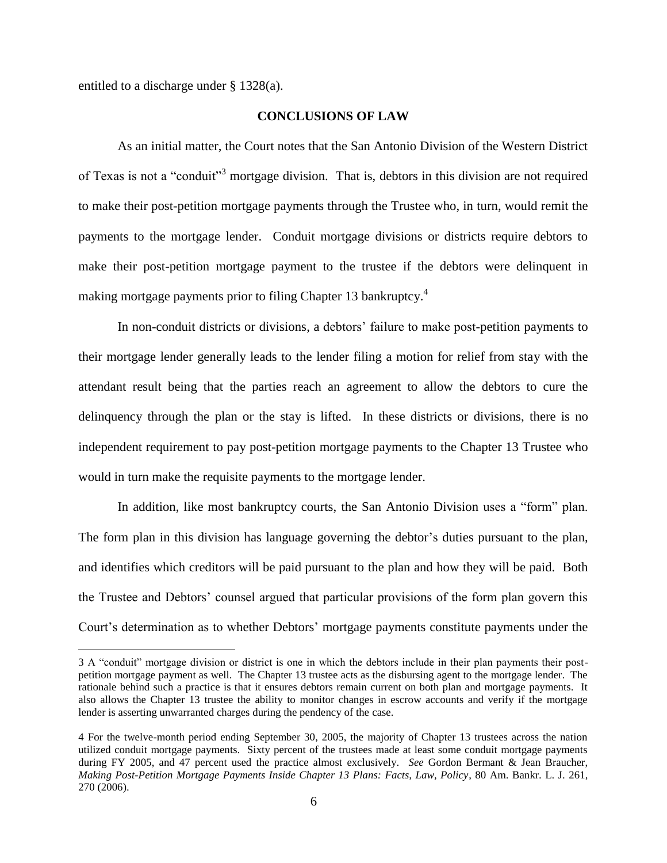entitled to a discharge under § 1328(a).

 $\overline{a}$ 

### **CONCLUSIONS OF LAW**

As an initial matter, the Court notes that the San Antonio Division of the Western District of Texas is not a "conduit"<sup>3</sup> mortgage division. That is, debtors in this division are not required to make their post-petition mortgage payments through the Trustee who, in turn, would remit the payments to the mortgage lender. Conduit mortgage divisions or districts require debtors to make their post-petition mortgage payment to the trustee if the debtors were delinquent in making mortgage payments prior to filing Chapter 13 bankruptcy.<sup>4</sup>

In non-conduit districts or divisions, a debtors' failure to make post-petition payments to their mortgage lender generally leads to the lender filing a motion for relief from stay with the attendant result being that the parties reach an agreement to allow the debtors to cure the delinquency through the plan or the stay is lifted. In these districts or divisions, there is no independent requirement to pay post-petition mortgage payments to the Chapter 13 Trustee who would in turn make the requisite payments to the mortgage lender.

In addition, like most bankruptcy courts, the San Antonio Division uses a "form" plan. The form plan in this division has language governing the debtor's duties pursuant to the plan, and identifies which creditors will be paid pursuant to the plan and how they will be paid. Both the Trustee and Debtors' counsel argued that particular provisions of the form plan govern this Court's determination as to whether Debtors' mortgage payments constitute payments under the

<sup>3</sup> A "conduit" mortgage division or district is one in which the debtors include in their plan payments their postpetition mortgage payment as well. The Chapter 13 trustee acts as the disbursing agent to the mortgage lender. The rationale behind such a practice is that it ensures debtors remain current on both plan and mortgage payments. It also allows the Chapter 13 trustee the ability to monitor changes in escrow accounts and verify if the mortgage lender is asserting unwarranted charges during the pendency of the case.

<sup>4</sup> For the twelve-month period ending September 30, 2005, the majority of Chapter 13 trustees across the nation utilized conduit mortgage payments. Sixty percent of the trustees made at least some conduit mortgage payments during FY 2005, and 47 percent used the practice almost exclusively. *See* Gordon Bermant & Jean Braucher, *Making Post-Petition Mortgage Payments Inside Chapter 13 Plans: Facts, Law, Policy*, 80 Am. Bankr. L. J. 261, 270 (2006).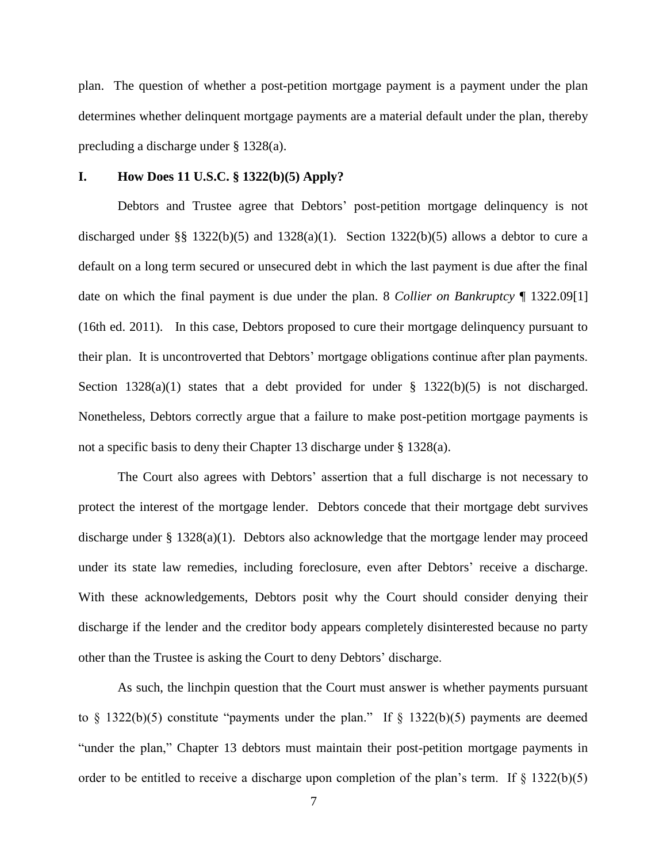plan. The question of whether a post-petition mortgage payment is a payment under the plan determines whether delinquent mortgage payments are a material default under the plan, thereby precluding a discharge under § 1328(a).

#### **I. How Does 11 U.S.C. § 1322(b)(5) Apply?**

Debtors and Trustee agree that Debtors' post-petition mortgage delinquency is not discharged under §§ 1322(b)(5) and 1328(a)(1). Section 1322(b)(5) allows a debtor to cure a default on a long term secured or unsecured debt in which the last payment is due after the final date on which the final payment is due under the plan. 8 *Collier on Bankruptcy* ¶ 1322.09[1] (16th ed. 2011). In this case, Debtors proposed to cure their mortgage delinquency pursuant to their plan. It is uncontroverted that Debtors' mortgage obligations continue after plan payments. Section  $1328(a)(1)$  states that a debt provided for under §  $1322(b)(5)$  is not discharged. Nonetheless, Debtors correctly argue that a failure to make post-petition mortgage payments is not a specific basis to deny their Chapter 13 discharge under § 1328(a).

The Court also agrees with Debtors' assertion that a full discharge is not necessary to protect the interest of the mortgage lender. Debtors concede that their mortgage debt survives discharge under § 1328(a)(1). Debtors also acknowledge that the mortgage lender may proceed under its state law remedies, including foreclosure, even after Debtors' receive a discharge. With these acknowledgements, Debtors posit why the Court should consider denying their discharge if the lender and the creditor body appears completely disinterested because no party other than the Trustee is asking the Court to deny Debtors' discharge.

As such, the linchpin question that the Court must answer is whether payments pursuant to  $§$  1322(b)(5) constitute "payments under the plan." If  $§$  1322(b)(5) payments are deemed "under the plan," Chapter 13 debtors must maintain their post-petition mortgage payments in order to be entitled to receive a discharge upon completion of the plan's term. If  $\S$  1322(b)(5)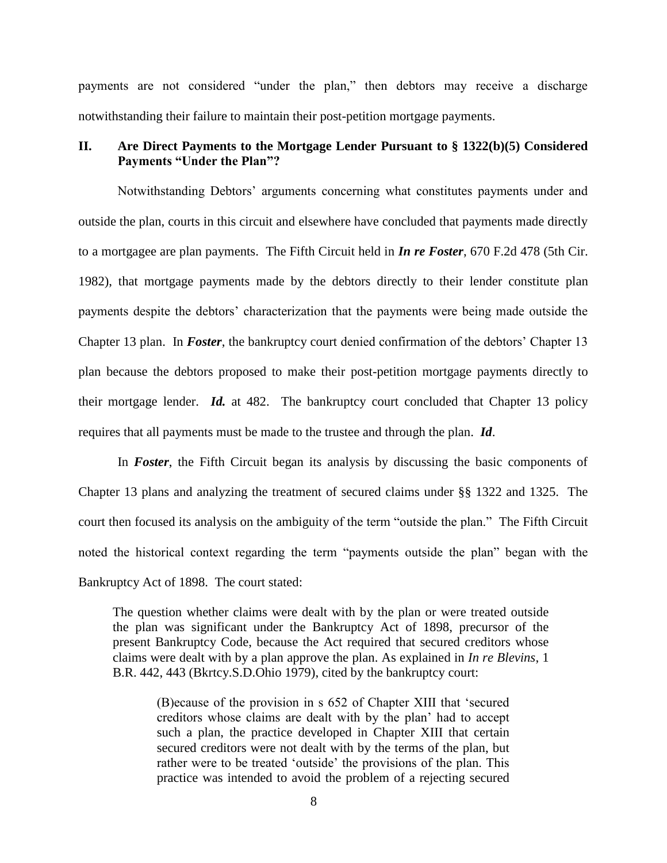payments are not considered "under the plan," then debtors may receive a discharge notwithstanding their failure to maintain their post-petition mortgage payments.

## **II. Are Direct Payments to the Mortgage Lender Pursuant to § 1322(b)(5) Considered Payments "Under the Plan"?**

Notwithstanding Debtors' arguments concerning what constitutes payments under and outside the plan, courts in this circuit and elsewhere have concluded that payments made directly to a mortgagee are plan payments. The Fifth Circuit held in *In re Foster*, 670 F.2d 478 (5th Cir. 1982), that mortgage payments made by the debtors directly to their lender constitute plan payments despite the debtors' characterization that the payments were being made outside the Chapter 13 plan. In *Foster*, the bankruptcy court denied confirmation of the debtors' Chapter 13 plan because the debtors proposed to make their post-petition mortgage payments directly to their mortgage lender. *Id.* at 482. The bankruptcy court concluded that Chapter 13 policy requires that all payments must be made to the trustee and through the plan. *Id*.

In *Foster*, the Fifth Circuit began its analysis by discussing the basic components of Chapter 13 plans and analyzing the treatment of secured claims under §§ 1322 and 1325. The court then focused its analysis on the ambiguity of the term "outside the plan." The Fifth Circuit noted the historical context regarding the term "payments outside the plan" began with the Bankruptcy Act of 1898. The court stated:

The question whether claims were dealt with by the plan or were treated outside the plan was significant under the Bankruptcy Act of 1898, precursor of the present Bankruptcy Code, because the Act required that secured creditors whose claims were dealt with by a plan approve the plan. As explained in *[In re Blevins](https://a.next.westlaw.com/Link/Document/FullText?findType=Y&serNum=1979139879&pubNum=164&originationContext=document&transitionType=DocumentItem&contextData=%28sc.UserEnteredCitation%29#co_pp_sp_164_443)*, 1 B.R. 442, [443 \(Bkrtcy.S.D.Ohio 1979\),](https://a.next.westlaw.com/Link/Document/FullText?findType=Y&serNum=1979139879&pubNum=164&originationContext=document&transitionType=DocumentItem&contextData=%28sc.UserEnteredCitation%29#co_pp_sp_164_443) cited by the bankruptcy court:

(B)ecause of the provision in s 652 of Chapter XIII that 'secured creditors whose claims are dealt with by the plan' had to accept such a plan, the practice developed in Chapter XIII that certain secured creditors were not dealt with by the terms of the plan, but rather were to be treated 'outside' the provisions of the plan. This practice was intended to avoid the problem of a rejecting secured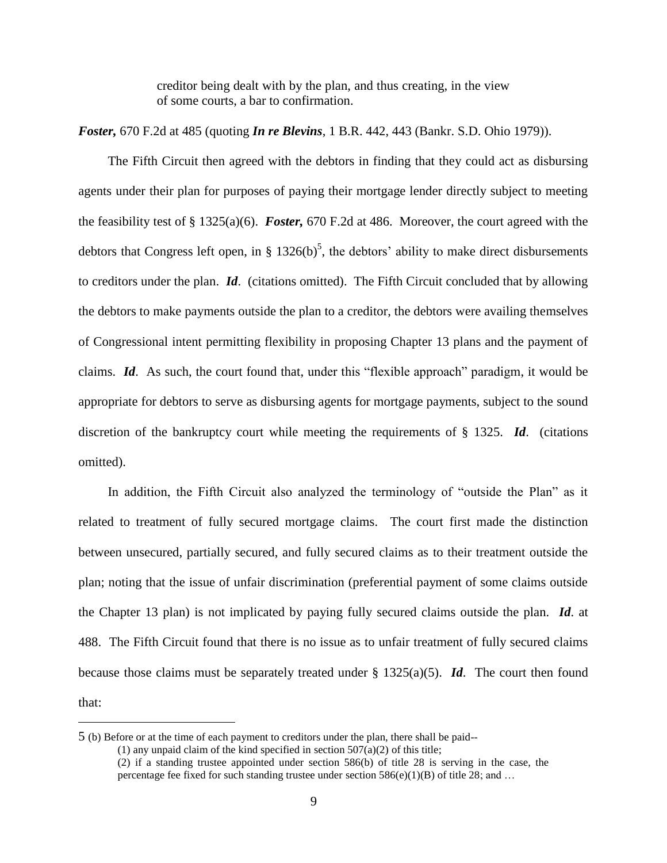creditor being dealt with by the plan, and thus creating, in the view of some courts, a bar to confirmation.

*Foster,* 670 F.2d at 485 (quoting *In re Blevins*, 1 B.R. 442, 443 (Bankr. S.D. Ohio 1979)).

The Fifth Circuit then agreed with the debtors in finding that they could act as disbursing agents under their plan for purposes of paying their mortgage lender directly subject to meeting the feasibility test of § 1325(a)(6). *Foster,* 670 F.2d at 486. Moreover, the court agreed with the debtors that Congress left open, in § 1326(b)<sup>5</sup>, the debtors' ability to make direct disbursements to creditors under the plan. *Id*. (citations omitted). The Fifth Circuit concluded that by allowing the debtors to make payments outside the plan to a creditor, the debtors were availing themselves of Congressional intent permitting flexibility in proposing Chapter 13 plans and the payment of claims. *Id*. As such, the court found that, under this "flexible approach" paradigm, it would be appropriate for debtors to serve as disbursing agents for mortgage payments, subject to the sound discretion of the bankruptcy court while meeting the requirements of § 1325. *Id*. (citations omitted).

In addition, the Fifth Circuit also analyzed the terminology of "outside the Plan" as it related to treatment of fully secured mortgage claims. The court first made the distinction between unsecured, partially secured, and fully secured claims as to their treatment outside the plan; noting that the issue of unfair discrimination (preferential payment of some claims outside the Chapter 13 plan) is not implicated by paying fully secured claims outside the plan. *Id*. at 488. The Fifth Circuit found that there is no issue as to unfair treatment of fully secured claims because those claims must be separately treated under § 1325(a)(5). *Id*. The court then found that:

<sup>5</sup> (b) Before or at the time of each payment to creditors under the plan, there shall be paid--

<sup>(1)</sup> any unpaid claim of the kind specified in section  $507(a)(2)$  of this title;

<sup>(2)</sup> if a standing trustee appointed under [section 586\(b\) of title 28](https://a.next.westlaw.com/Link/Document/FullText?findType=L&pubNum=1000546&cite=28USCAS586&originationContext=document&transitionType=DocumentItem&contextData=%28sc.Category%29#co_pp_a83b000018c76) is serving in the case, the percentage fee fixed for such standing trustee under section  $586(e)(1)(B)$  of title 28; and ...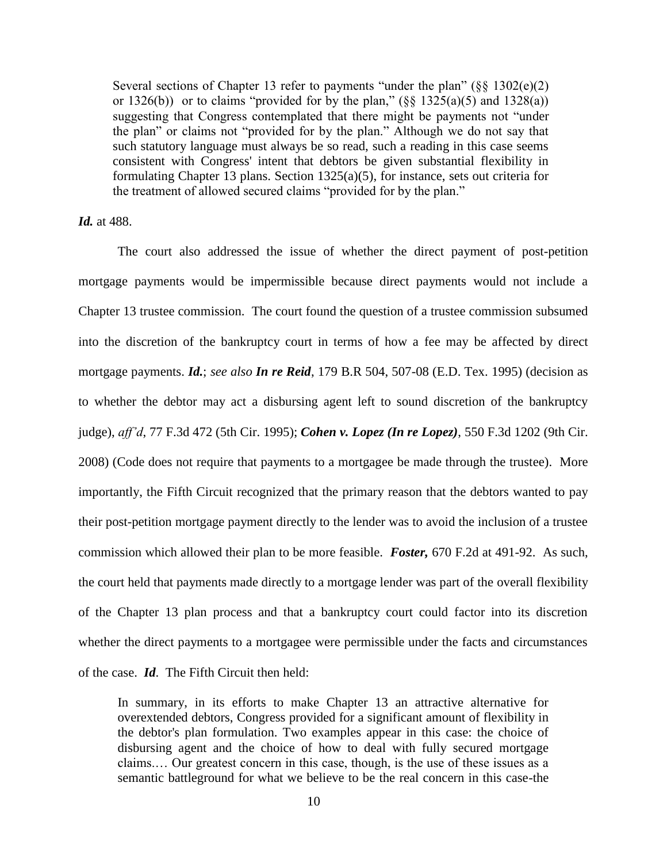Several sections of Chapter 13 refer to payments "under the plan" (§§ 1302(e)(2) or 1326(b)) or to claims "provided for by the plan,"  $(\frac{8}{8}$  1325(a)(5) and 1328(a)) suggesting that Congress contemplated that there might be payments not "under the plan" or claims not "provided for by the plan." Although we do not say that such statutory language must always be so read, such a reading in this case seems consistent with Congress' intent that debtors be given substantial flexibility in formulating Chapter 13 plans. [Section 1325\(a\)\(5\),](https://a.next.westlaw.com/Link/Document/FullText?findType=L&pubNum=1000546&cite=11USCAS1325&originatingDoc=I71c8905b92d111d993e6d35cc61aab4a&refType=LQ&originationContext=document&transitionType=DocumentItem&contextData=%28sc.UserEnteredCitation%29) for instance, sets out criteria for the treatment of allowed secured claims "provided for by the plan."

*Id.* at 488.

The court also addressed the issue of whether the direct payment of post-petition mortgage payments would be impermissible because direct payments would not include a Chapter 13 trustee commission. The court found the question of a trustee commission subsumed into the discretion of the bankruptcy court in terms of how a fee may be affected by direct mortgage payments. *Id.*; *see also In re Reid*, 179 B.R 504, 507-08 (E.D. Tex. 1995) (decision as to whether the debtor may act a disbursing agent left to sound discretion of the bankruptcy judge), *aff'd*, 77 F.3d 472 (5th Cir. 1995); *Cohen v. Lopez (In re Lopez)*, 550 F.3d 1202 (9th Cir. 2008) (Code does not require that payments to a mortgagee be made through the trustee). More importantly, the Fifth Circuit recognized that the primary reason that the debtors wanted to pay their post-petition mortgage payment directly to the lender was to avoid the inclusion of a trustee commission which allowed their plan to be more feasible. *Foster,* 670 F.2d at 491-92. As such, the court held that payments made directly to a mortgage lender was part of the overall flexibility of the Chapter 13 plan process and that a bankruptcy court could factor into its discretion whether the direct payments to a mortgagee were permissible under the facts and circumstances of the case. *Id*. The Fifth Circuit then held:

In summary, in its efforts to make Chapter 13 an attractive alternative for overextended debtors, Congress provided for a significant amount of flexibility in the debtor's plan formulation. Two examples appear in this case: the choice of disbursing agent and the choice of how to deal with fully secured mortgage claims.… Our greatest concern in this case, though, is the use of these issues as a semantic battleground for what we believe to be the real concern in this case-the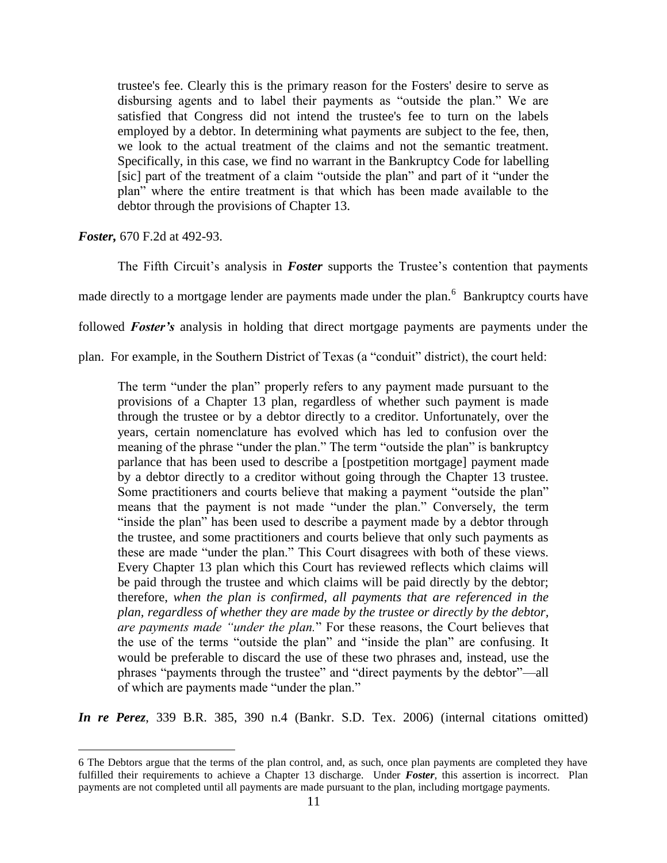trustee's fee. Clearly this is the primary reason for the Fosters' desire to serve as disbursing agents and to label their payments as "outside the plan." We are satisfied that Congress did not intend the trustee's fee to turn on the labels employed by a debtor. In determining what payments are subject to the fee, then, we look to the actual treatment of the claims and not the semantic treatment. Specifically, in this case, we find no warrant in the Bankruptcy Code for labelling [sic] part of the treatment of a claim "outside the plan" and part of it "under the plan" where the entire treatment is that which has been made available to the debtor through the provisions of Chapter 13.

*Foster,* 670 F.2d at 492-93.

 $\overline{a}$ 

The Fifth Circuit's analysis in *Foster* supports the Trustee's contention that payments

made directly to a mortgage lender are payments made under the plan.<sup>6</sup> Bankruptcy courts have

followed *Foster's* analysis in holding that direct mortgage payments are payments under the

plan. For example, in the Southern District of Texas (a "conduit" district), the court held:

The term "under the plan" properly refers to any payment made pursuant to the provisions of a Chapter 13 plan, regardless of whether such payment is made through the trustee or by a debtor directly to a creditor. Unfortunately, over the years, certain nomenclature has evolved which has led to confusion over the meaning of the phrase "under the plan." The term "outside the plan" is bankruptcy parlance that has been used to describe a [postpetition mortgage] payment made by a debtor directly to a creditor without going through the Chapter 13 trustee. Some practitioners and courts believe that making a payment "outside the plan" means that the payment is not made "under the plan." Conversely, the term "inside the plan" has been used to describe a payment made by a debtor through the trustee, and some practitioners and courts believe that only such payments as these are made "under the plan." This Court disagrees with both of these views. Every Chapter 13 plan which this Court has reviewed reflects which claims will be paid through the trustee and which claims will be paid directly by the debtor; therefore, *when the plan is confirmed, all payments that are referenced in the plan, regardless of whether they are made by the trustee or directly by the debtor, are payments made "under the plan.*" For these reasons, the Court believes that the use of the terms "outside the plan" and "inside the plan" are confusing. It would be preferable to discard the use of these two phrases and, instead, use the phrases "payments through the trustee" and "direct payments by the debtor"—all of which are payments made "under the plan."

*In re Perez*, 339 B.R. 385, 390 n.4 (Bankr. S.D. Tex. 2006) (internal citations omitted)

<sup>6</sup> The Debtors argue that the terms of the plan control, and, as such, once plan payments are completed they have fulfilled their requirements to achieve a Chapter 13 discharge. Under *Foster*, this assertion is incorrect. Plan payments are not completed until all payments are made pursuant to the plan, including mortgage payments.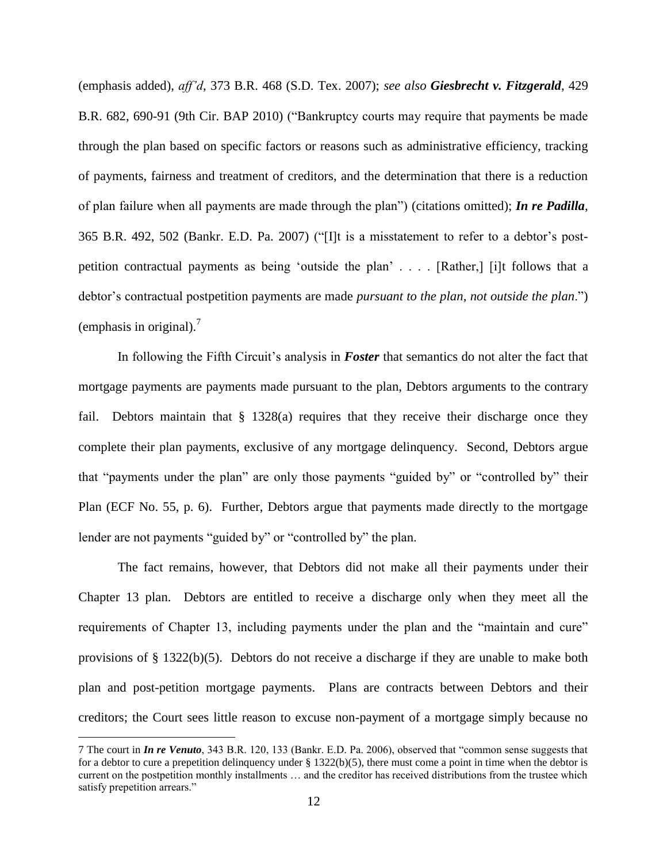(emphasis added), *aff'd*, 373 B.R. 468 (S.D. Tex. 2007); *see also Giesbrecht v. Fitzgerald*, 429 B.R. 682, 690-91 (9th Cir. BAP 2010) ("Bankruptcy courts may require that payments be made through the plan based on specific factors or reasons such as administrative efficiency, tracking of payments, fairness and treatment of creditors, and the determination that there is a reduction of plan failure when all payments are made through the plan") (citations omitted); *In re Padilla*, 365 B.R. 492, 502 (Bankr. E.D. Pa. 2007) ("[I]t is a misstatement to refer to a debtor's postpetition contractual payments as being 'outside the plan' . . . . [Rather,] [i]t follows that a debtor's contractual postpetition payments are made *pursuant to the plan*, *not outside the plan*.") (emphasis in original).<sup>7</sup>

In following the Fifth Circuit's analysis in *Foster* that semantics do not alter the fact that mortgage payments are payments made pursuant to the plan, Debtors arguments to the contrary fail. Debtors maintain that § 1328(a) requires that they receive their discharge once they complete their plan payments, exclusive of any mortgage delinquency. Second, Debtors argue that "payments under the plan" are only those payments "guided by" or "controlled by" their Plan (ECF No. 55, p. 6). Further, Debtors argue that payments made directly to the mortgage lender are not payments "guided by" or "controlled by" the plan.

The fact remains, however, that Debtors did not make all their payments under their Chapter 13 plan. Debtors are entitled to receive a discharge only when they meet all the requirements of Chapter 13, including payments under the plan and the "maintain and cure" provisions of § 1322(b)(5). Debtors do not receive a discharge if they are unable to make both plan and post-petition mortgage payments. Plans are contracts between Debtors and their creditors; the Court sees little reason to excuse non-payment of a mortgage simply because no

<sup>7</sup> The court in *In re Venuto*, 343 B.R. 120, 133 (Bankr. E.D. Pa. 2006), observed that "common sense suggests that for a debtor to cure a prepetition delinquency under  $\S 1322(b)(5)$ , there must come a point in time when the debtor is current on the postpetition monthly installments … and the creditor has received distributions from the trustee which satisfy prepetition arrears."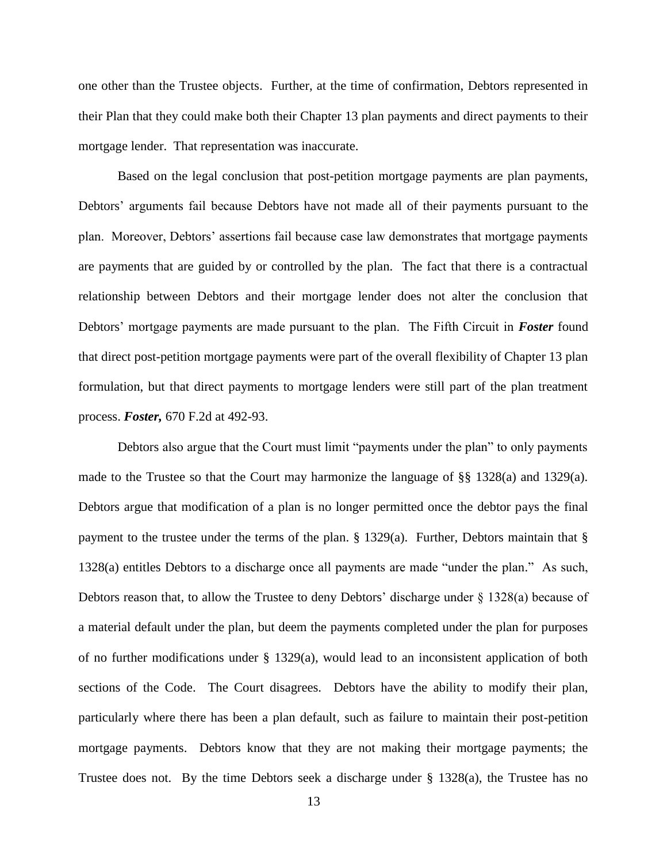one other than the Trustee objects. Further, at the time of confirmation, Debtors represented in their Plan that they could make both their Chapter 13 plan payments and direct payments to their mortgage lender. That representation was inaccurate.

Based on the legal conclusion that post-petition mortgage payments are plan payments, Debtors' arguments fail because Debtors have not made all of their payments pursuant to the plan. Moreover, Debtors' assertions fail because case law demonstrates that mortgage payments are payments that are guided by or controlled by the plan. The fact that there is a contractual relationship between Debtors and their mortgage lender does not alter the conclusion that Debtors' mortgage payments are made pursuant to the plan. The Fifth Circuit in *Foster* found that direct post-petition mortgage payments were part of the overall flexibility of Chapter 13 plan formulation, but that direct payments to mortgage lenders were still part of the plan treatment process. *Foster,* 670 F.2d at 492-93.

Debtors also argue that the Court must limit "payments under the plan" to only payments made to the Trustee so that the Court may harmonize the language of  $\S$ § 1328(a) and 1329(a). Debtors argue that modification of a plan is no longer permitted once the debtor pays the final payment to the trustee under the terms of the plan. § 1329(a). Further, Debtors maintain that § 1328(a) entitles Debtors to a discharge once all payments are made "under the plan." As such, Debtors reason that, to allow the Trustee to deny Debtors' discharge under § 1328(a) because of a material default under the plan, but deem the payments completed under the plan for purposes of no further modifications under § 1329(a), would lead to an inconsistent application of both sections of the Code. The Court disagrees. Debtors have the ability to modify their plan, particularly where there has been a plan default, such as failure to maintain their post-petition mortgage payments. Debtors know that they are not making their mortgage payments; the Trustee does not. By the time Debtors seek a discharge under § 1328(a), the Trustee has no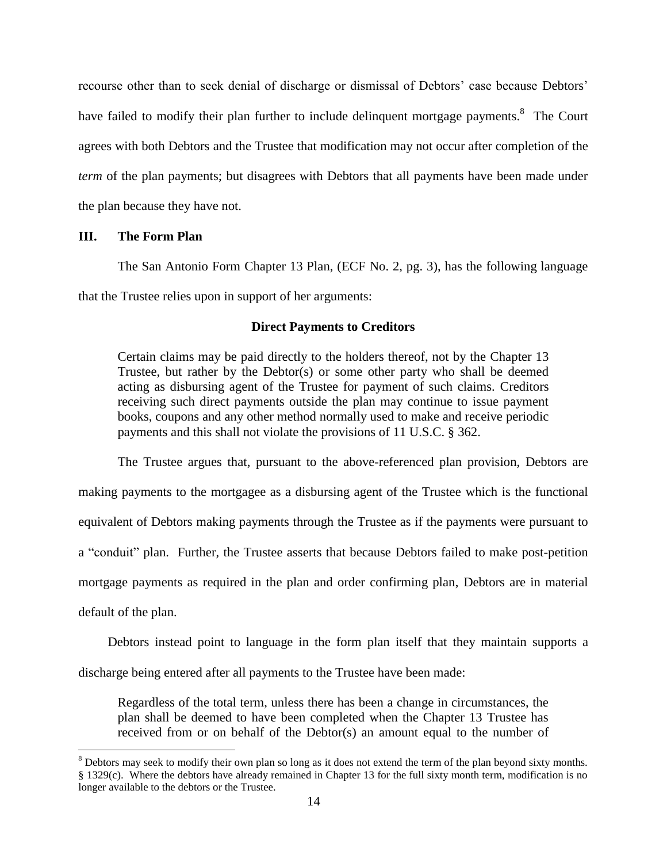recourse other than to seek denial of discharge or dismissal of Debtors' case because Debtors' have failed to modify their plan further to include delinquent mortgage payments.<sup>8</sup> The Court agrees with both Debtors and the Trustee that modification may not occur after completion of the *term* of the plan payments; but disagrees with Debtors that all payments have been made under the plan because they have not.

### **III. The Form Plan**

 $\overline{a}$ 

The San Antonio Form Chapter 13 Plan, (ECF No. 2, pg. 3), has the following language that the Trustee relies upon in support of her arguments:

## **Direct Payments to Creditors**

Certain claims may be paid directly to the holders thereof, not by the Chapter 13 Trustee, but rather by the Debtor(s) or some other party who shall be deemed acting as disbursing agent of the Trustee for payment of such claims. Creditors receiving such direct payments outside the plan may continue to issue payment books, coupons and any other method normally used to make and receive periodic payments and this shall not violate the provisions of 11 U.S.C. § 362.

The Trustee argues that, pursuant to the above-referenced plan provision, Debtors are making payments to the mortgagee as a disbursing agent of the Trustee which is the functional equivalent of Debtors making payments through the Trustee as if the payments were pursuant to a "conduit" plan. Further, the Trustee asserts that because Debtors failed to make post-petition mortgage payments as required in the plan and order confirming plan, Debtors are in material default of the plan.

Debtors instead point to language in the form plan itself that they maintain supports a discharge being entered after all payments to the Trustee have been made:

Regardless of the total term, unless there has been a change in circumstances, the plan shall be deemed to have been completed when the Chapter 13 Trustee has received from or on behalf of the Debtor(s) an amount equal to the number of

<sup>&</sup>lt;sup>8</sup> Debtors may seek to modify their own plan so long as it does not extend the term of the plan beyond sixty months. § 1329(c). Where the debtors have already remained in Chapter 13 for the full sixty month term, modification is no longer available to the debtors or the Trustee.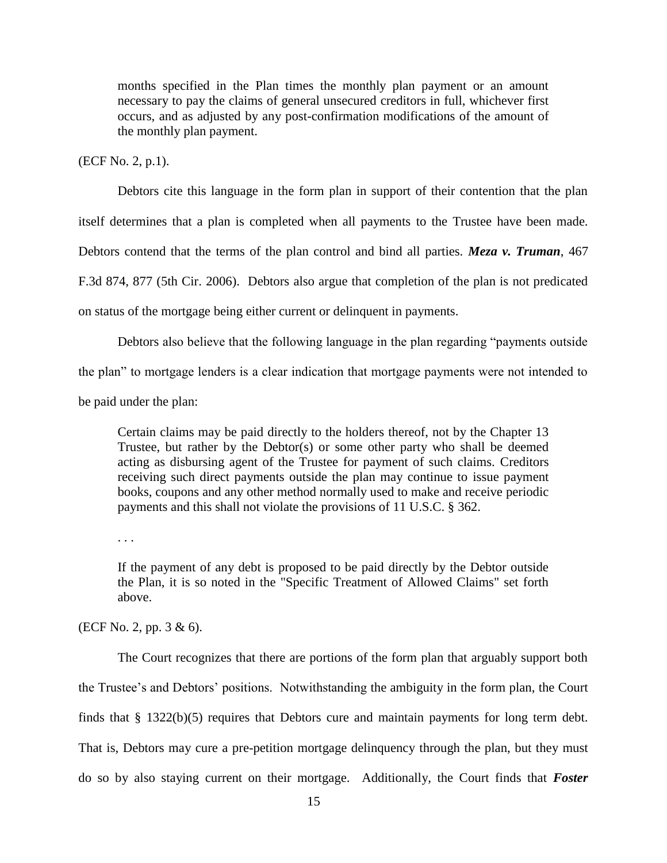months specified in the Plan times the monthly plan payment or an amount necessary to pay the claims of general unsecured creditors in full, whichever first occurs, and as adjusted by any post-confirmation modifications of the amount of the monthly plan payment.

(ECF No. 2, p.1).

Debtors cite this language in the form plan in support of their contention that the plan itself determines that a plan is completed when all payments to the Trustee have been made. Debtors contend that the terms of the plan control and bind all parties. *Meza v. Truman*, 467 F.3d 874, 877 (5th Cir. 2006). Debtors also argue that completion of the plan is not predicated on status of the mortgage being either current or delinquent in payments.

Debtors also believe that the following language in the plan regarding "payments outside the plan" to mortgage lenders is a clear indication that mortgage payments were not intended to be paid under the plan:

Certain claims may be paid directly to the holders thereof, not by the Chapter 13 Trustee, but rather by the Debtor(s) or some other party who shall be deemed acting as disbursing agent of the Trustee for payment of such claims. Creditors receiving such direct payments outside the plan may continue to issue payment books, coupons and any other method normally used to make and receive periodic payments and this shall not violate the provisions of 11 U.S.C. § 362.

. . .

If the payment of any debt is proposed to be paid directly by the Debtor outside the Plan, it is so noted in the "Specific Treatment of Allowed Claims" set forth above.

(ECF No. 2, pp. 3 & 6).

The Court recognizes that there are portions of the form plan that arguably support both the Trustee's and Debtors' positions. Notwithstanding the ambiguity in the form plan, the Court finds that § 1322(b)(5) requires that Debtors cure and maintain payments for long term debt. That is, Debtors may cure a pre-petition mortgage delinquency through the plan, but they must do so by also staying current on their mortgage. Additionally, the Court finds that *Foster*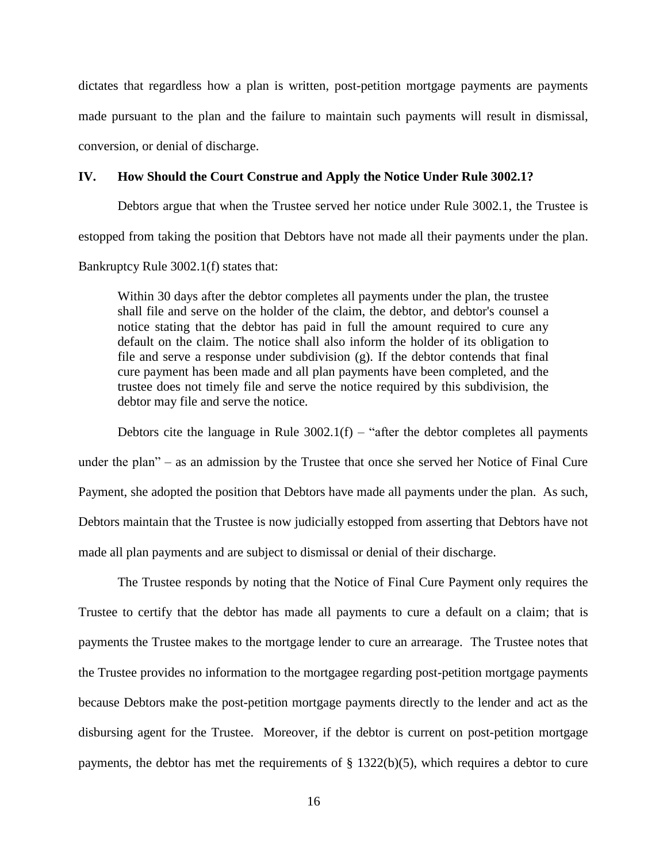dictates that regardless how a plan is written, post-petition mortgage payments are payments made pursuant to the plan and the failure to maintain such payments will result in dismissal, conversion, or denial of discharge.

### **IV. How Should the Court Construe and Apply the Notice Under Rule 3002.1?**

Debtors argue that when the Trustee served her notice under Rule 3002.1, the Trustee is estopped from taking the position that Debtors have not made all their payments under the plan.

Bankruptcy Rule 3002.1(f) states that:

Within 30 days after the debtor completes all payments under the plan, the trustee shall file and serve on the holder of the claim, the debtor, and debtor's counsel a notice stating that the debtor has paid in full the amount required to cure any default on the claim. The notice shall also inform the holder of its obligation to file and serve a response under subdivision (g). If the debtor contends that final cure payment has been made and all plan payments have been completed, and the trustee does not timely file and serve the notice required by this subdivision, the debtor may file and serve the notice.

Debtors cite the language in Rule  $3002.1(f)$  – "after the debtor completes all payments under the plan" – as an admission by the Trustee that once she served her Notice of Final Cure Payment, she adopted the position that Debtors have made all payments under the plan. As such, Debtors maintain that the Trustee is now judicially estopped from asserting that Debtors have not made all plan payments and are subject to dismissal or denial of their discharge.

The Trustee responds by noting that the Notice of Final Cure Payment only requires the Trustee to certify that the debtor has made all payments to cure a default on a claim; that is payments the Trustee makes to the mortgage lender to cure an arrearage. The Trustee notes that the Trustee provides no information to the mortgagee regarding post-petition mortgage payments because Debtors make the post-petition mortgage payments directly to the lender and act as the disbursing agent for the Trustee. Moreover, if the debtor is current on post-petition mortgage payments, the debtor has met the requirements of  $\S$  1322(b)(5), which requires a debtor to cure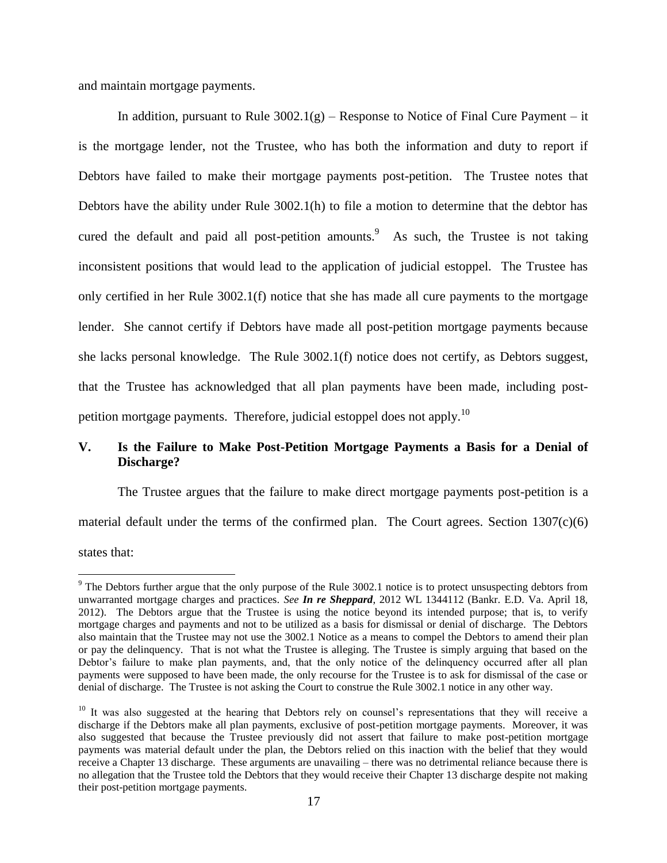and maintain mortgage payments.

In addition, pursuant to Rule  $3002.1(g)$  – Response to Notice of Final Cure Payment – it is the mortgage lender, not the Trustee, who has both the information and duty to report if Debtors have failed to make their mortgage payments post-petition. The Trustee notes that Debtors have the ability under Rule 3002.1(h) to file a motion to determine that the debtor has cured the default and paid all post-petition amounts. As such, the Trustee is not taking inconsistent positions that would lead to the application of judicial estoppel. The Trustee has only certified in her Rule 3002.1(f) notice that she has made all cure payments to the mortgage lender. She cannot certify if Debtors have made all post-petition mortgage payments because she lacks personal knowledge. The Rule 3002.1(f) notice does not certify, as Debtors suggest, that the Trustee has acknowledged that all plan payments have been made, including postpetition mortgage payments. Therefore, judicial estoppel does not apply.<sup>10</sup>

## **V. Is the Failure to Make Post-Petition Mortgage Payments a Basis for a Denial of Discharge?**

The Trustee argues that the failure to make direct mortgage payments post-petition is a material default under the terms of the confirmed plan. The Court agrees. Section  $1307(c)(6)$ 

states that:

<sup>&</sup>lt;sup>9</sup> The Debtors further argue that the only purpose of the Rule 3002.1 notice is to protect unsuspecting debtors from unwarranted mortgage charges and practices. *See In re Sheppard*, 2012 WL 1344112 (Bankr. E.D. Va. April 18, 2012). The Debtors argue that the Trustee is using the notice beyond its intended purpose; that is, to verify mortgage charges and payments and not to be utilized as a basis for dismissal or denial of discharge. The Debtors also maintain that the Trustee may not use the 3002.1 Notice as a means to compel the Debtors to amend their plan or pay the delinquency. That is not what the Trustee is alleging. The Trustee is simply arguing that based on the Debtor's failure to make plan payments, and, that the only notice of the delinquency occurred after all plan payments were supposed to have been made, the only recourse for the Trustee is to ask for dismissal of the case or denial of discharge. The Trustee is not asking the Court to construe the Rule 3002.1 notice in any other way.

<sup>&</sup>lt;sup>10</sup> It was also suggested at the hearing that Debtors rely on counsel's representations that they will receive a discharge if the Debtors make all plan payments, exclusive of post-petition mortgage payments. Moreover, it was also suggested that because the Trustee previously did not assert that failure to make post-petition mortgage payments was material default under the plan, the Debtors relied on this inaction with the belief that they would receive a Chapter 13 discharge. These arguments are unavailing – there was no detrimental reliance because there is no allegation that the Trustee told the Debtors that they would receive their Chapter 13 discharge despite not making their post-petition mortgage payments.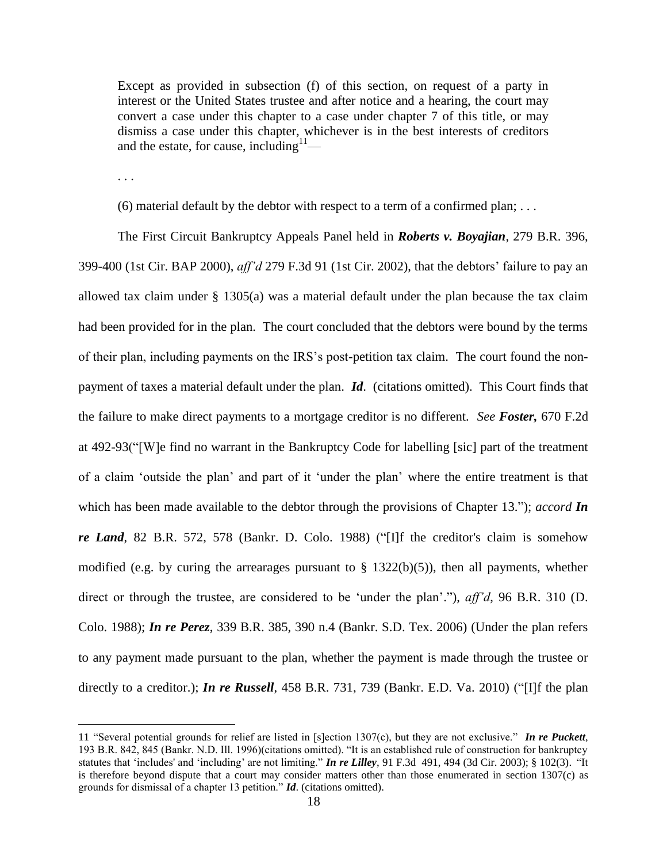Except as provided in subsection (f) of this section, on request of a party in interest or the United States trustee and after notice and a hearing, the court may convert a case under this chapter to a case under chapter 7 of this title, or may dismiss a case under this chapter, whichever is in the best interests of creditors and the estate, for cause, including  $11$ —

. . .

 $\overline{a}$ 

(6) material default by the debtor with respect to a term of a confirmed plan;  $\dots$ 

The First Circuit Bankruptcy Appeals Panel held in *Roberts v. Boyajian*, 279 B.R. 396, 399-400 (1st Cir. BAP 2000), *aff'd* 279 F.3d 91 (1st Cir. 2002), that the debtors' failure to pay an allowed tax claim under  $\S$  1305(a) was a material default under the plan because the tax claim had been provided for in the plan. The court concluded that the debtors were bound by the terms of their plan, including payments on the IRS's post-petition tax claim. The court found the nonpayment of taxes a material default under the plan. *Id*. (citations omitted). This Court finds that the failure to make direct payments to a mortgage creditor is no different. *See Foster,* 670 F.2d at 492-93("[W]e find no warrant in the Bankruptcy Code for labelling [sic] part of the treatment of a claim 'outside the plan' and part of it 'under the plan' where the entire treatment is that which has been made available to the debtor through the provisions of Chapter 13."); *accord In re Land*, 82 B.R. 572, 578 (Bankr. D. Colo. 1988) ("[I]f the creditor's claim is somehow modified (e.g. by curing the arrearages pursuant to  $\S$  1322(b)(5)), then all payments, whether direct or through the trustee, are considered to be 'under the plan'."), *aff'd*, 96 B.R. 310 (D. Colo. 1988); *In re Perez*, 339 B.R. 385, 390 n.4 (Bankr. S.D. Tex. 2006) (Under the plan refers to any payment made pursuant to the plan, whether the payment is made through the trustee or directly to a creditor.); *In re Russell*, 458 B.R. 731, 739 (Bankr. E.D. Va. 2010) ("[I]f the plan

<sup>11</sup> "Several potential grounds for relief are listed in [s]ection 1307(c), but they are not exclusive." *In re Puckett*, 193 B.R. 842, 845 (Bankr. N.D. Ill. 1996)(citations omitted). "It is an established rule of construction for bankruptcy statutes that 'includes' and 'including' are not limiting." *In re Lilley*, 91 F.3d 491, 494 (3d Cir. 2003); § 102(3). "It is therefore beyond dispute that a court may consider matters other than those enumerated in [section 1307\(c\)](https://a.next.westlaw.com/Link/Document/FullText?findType=L&pubNum=1000546&cite=11USCAS1307&originationContext=document&transitionType=DocumentItem&contextData=%28sc.Search%29#co_pp_4b24000003ba5) as grounds for dismissal of a chapter 13 petition." *Id*. (citations omitted).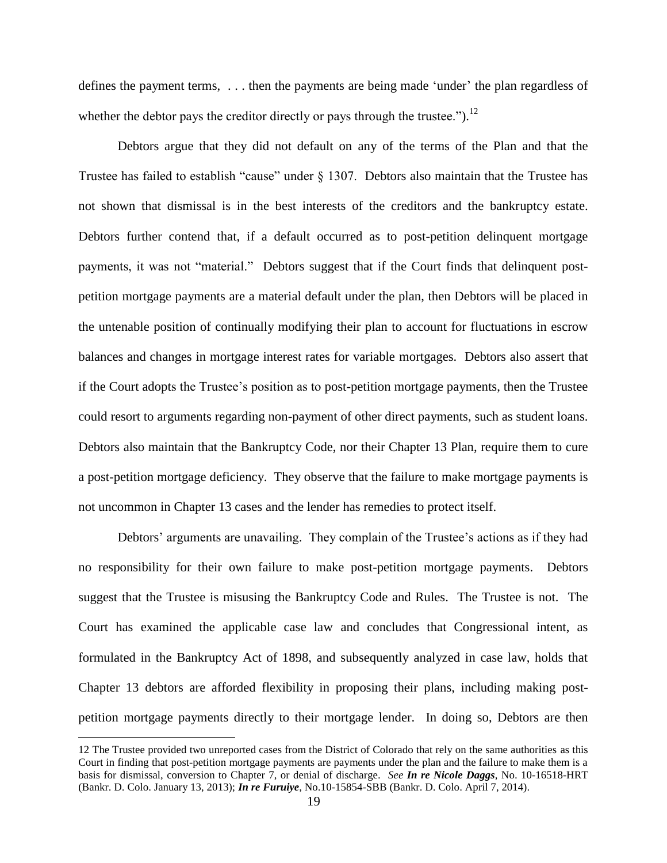defines the payment terms, . . . then the payments are being made 'under' the plan regardless of whether the debtor pays the creditor directly or pays through the trustee." $^{12}$ 

Debtors argue that they did not default on any of the terms of the Plan and that the Trustee has failed to establish "cause" under § 1307. Debtors also maintain that the Trustee has not shown that dismissal is in the best interests of the creditors and the bankruptcy estate. Debtors further contend that, if a default occurred as to post-petition delinquent mortgage payments, it was not "material." Debtors suggest that if the Court finds that delinquent postpetition mortgage payments are a material default under the plan, then Debtors will be placed in the untenable position of continually modifying their plan to account for fluctuations in escrow balances and changes in mortgage interest rates for variable mortgages. Debtors also assert that if the Court adopts the Trustee's position as to post-petition mortgage payments, then the Trustee could resort to arguments regarding non-payment of other direct payments, such as student loans. Debtors also maintain that the Bankruptcy Code, nor their Chapter 13 Plan, require them to cure a post-petition mortgage deficiency. They observe that the failure to make mortgage payments is not uncommon in Chapter 13 cases and the lender has remedies to protect itself.

Debtors' arguments are unavailing. They complain of the Trustee's actions as if they had no responsibility for their own failure to make post-petition mortgage payments. Debtors suggest that the Trustee is misusing the Bankruptcy Code and Rules. The Trustee is not. The Court has examined the applicable case law and concludes that Congressional intent, as formulated in the Bankruptcy Act of 1898, and subsequently analyzed in case law, holds that Chapter 13 debtors are afforded flexibility in proposing their plans, including making postpetition mortgage payments directly to their mortgage lender. In doing so, Debtors are then

<sup>12</sup> The Trustee provided two unreported cases from the District of Colorado that rely on the same authorities as this Court in finding that post-petition mortgage payments are payments under the plan and the failure to make them is a basis for dismissal, conversion to Chapter 7, or denial of discharge. *See In re Nicole Daggs*, No. 10-16518-HRT (Bankr. D. Colo. January 13, 2013); *In re Furuiye*, No.10-15854-SBB (Bankr. D. Colo. April 7, 2014).